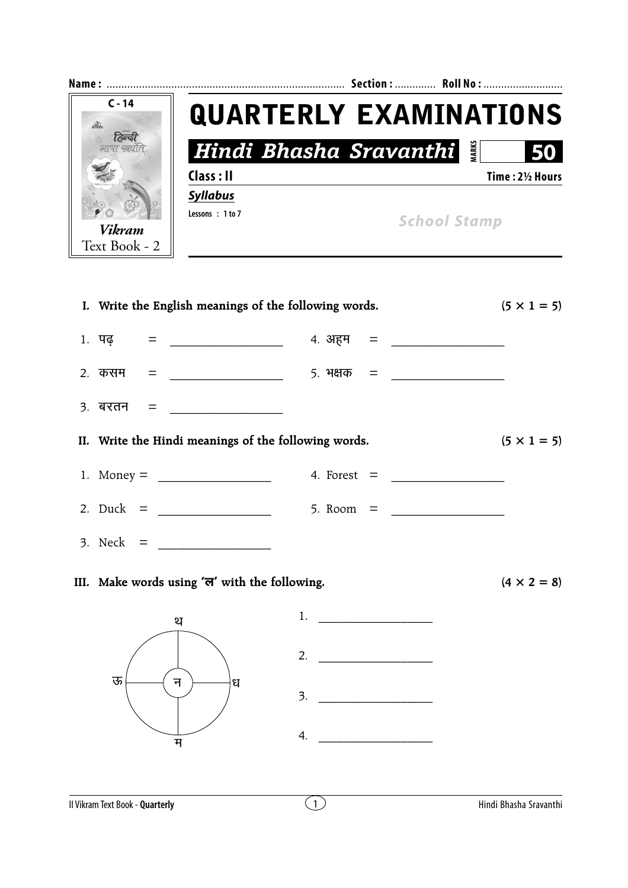

| I. Write the English meanings of the following words. |                    | $(5 \times 1 = 5)$ |
|-------------------------------------------------------|--------------------|--------------------|
| 1. पढ़ = _______________                              |                    |                    |
|                                                       |                    |                    |
|                                                       |                    |                    |
| II. Write the Hindi meanings of the following words.  |                    | $(5 \times 1 = 5)$ |
|                                                       |                    |                    |
|                                                       |                    |                    |
| 3. Neck = $\frac{1}{2}$                               |                    |                    |
| III. Make words using 'ल' with the following.         |                    | $(4 \times 2 = 8)$ |
| थ                                                     | 1. $\qquad \qquad$ |                    |
|                                                       |                    |                    |